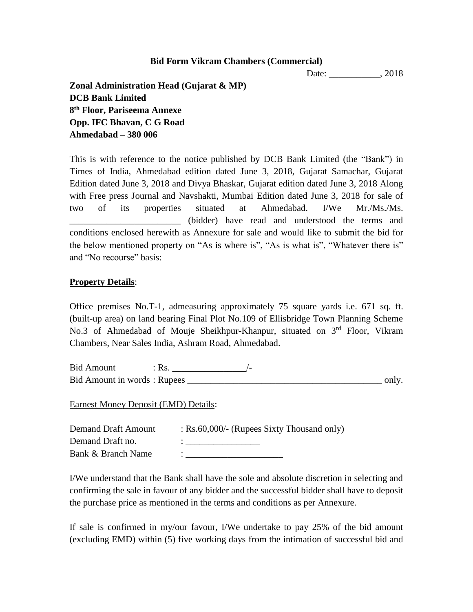### **Bid Form Vikram Chambers (Commercial)**

Date: \_\_\_\_\_\_\_\_\_\_\_\_, 2018

**Zonal Administration Head (Gujarat & MP) DCB Bank Limited 8 th Floor, Pariseema Annexe Opp. IFC Bhavan, C G Road Ahmedabad – 380 006**

This is with reference to the notice published by DCB Bank Limited (the "Bank") in Times of India, Ahmedabad edition dated June 3, 2018, Gujarat Samachar, Gujarat Edition dated June 3, 2018 and Divya Bhaskar, Gujarat edition dated June 3, 2018 Along with Free press Journal and Navshakti, Mumbai Edition dated June 3, 2018 for sale of two of its properties situated at Ahmedabad. I/We Mr./Ms./Ms. \_\_\_\_\_\_\_\_\_\_\_\_\_\_\_\_\_\_\_\_\_\_\_\_ (bidder) have read and understood the terms and conditions enclosed herewith as Annexure for sale and would like to submit the bid for the below mentioned property on "As is where is", "As is what is", "Whatever there is" and "No recourse" basis:

## **Property Details**:

Office premises No.T-1, admeasuring approximately 75 square yards i.e. 671 sq. ft. (built-up area) on land bearing Final Plot No.109 of Ellisbridge Town Planning Scheme No.3 of Ahmedabad of Mouje Sheikhpur-Khanpur, situated on 3<sup>rd</sup> Floor, Vikram Chambers, Near Sales India, Ashram Road, Ahmedabad.

Bid Amount : Rs. \_\_\_\_\_\_\_\_\_\_\_\_\_\_\_\_/- Bid Amount in words : Rupees \_\_\_\_\_\_\_\_\_\_\_\_\_\_\_\_\_\_\_\_\_\_\_\_\_\_\_\_\_\_\_\_\_\_\_\_\_\_\_\_\_\_ only.

Earnest Money Deposit (EMD) Details:

| <b>Demand Draft Amount</b> | $:$ Rs.60,000/- (Rupees Sixty Thousand only) |
|----------------------------|----------------------------------------------|
| Demand Draft no.           |                                              |
| Bank & Branch Name         |                                              |

I/We understand that the Bank shall have the sole and absolute discretion in selecting and confirming the sale in favour of any bidder and the successful bidder shall have to deposit the purchase price as mentioned in the terms and conditions as per Annexure.

If sale is confirmed in my/our favour, I/We undertake to pay 25% of the bid amount (excluding EMD) within (5) five working days from the intimation of successful bid and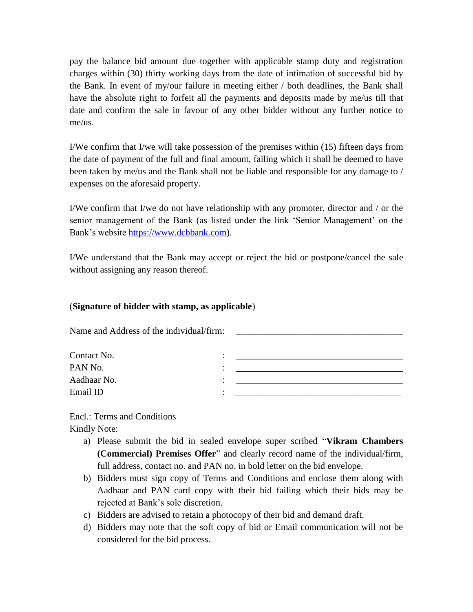pay the balance bid amount due together with applicable stamp duty and registration charges within (30) thirty working days from the date of intimation of successful bid by the Bank. In event of my/our failure in meeting either / both deadlines, the Bank shall have the absolute right to forfeit all the payments and deposits made by me/us till that date and confirm the sale in favour of any other bidder without any further notice to me/us.

I/We confirm that I/we will take possession of the premises within (15) fifteen days from the date of payment of the full and final amount, failing which it shall be deemed to have been taken by me/us and the Bank shall not be liable and responsible for any damage to / expenses on the aforesaid property.

I/We confirm that I/we do not have relationship with any promoter, director and / or the senior management of the Bank (as listed under the link 'Senior Management' on the Bank's website [https://www.dcbbank.com\)](https://www.dcbbank.com/).

I/We understand that the Bank may accept or reject the bid or postpone/cancel the sale without assigning any reason thereof.

# (**Signature of bidder with stamp, as applicable**)

Name and Address of the individual/firm:

| Contact No. | ٠ |  |
|-------------|---|--|
| PAN No.     | ٠ |  |
| Aadhaar No. | ٠ |  |
| Email ID    |   |  |

Encl.: Terms and Conditions Kindly Note:

- a) Please submit the bid in sealed envelope super scribed "**Vikram Chambers (Commercial) Premises Offer**" and clearly record name of the individual/firm, full address, contact no. and PAN no. in bold letter on the bid envelope.
- b) Bidders must sign copy of Terms and Conditions and enclose them along with Aadhaar and PAN card copy with their bid failing which their bids may be rejected at Bank's sole discretion.
- c) Bidders are advised to retain a photocopy of their bid and demand draft.
- d) Bidders may note that the soft copy of bid or Email communication will not be considered for the bid process.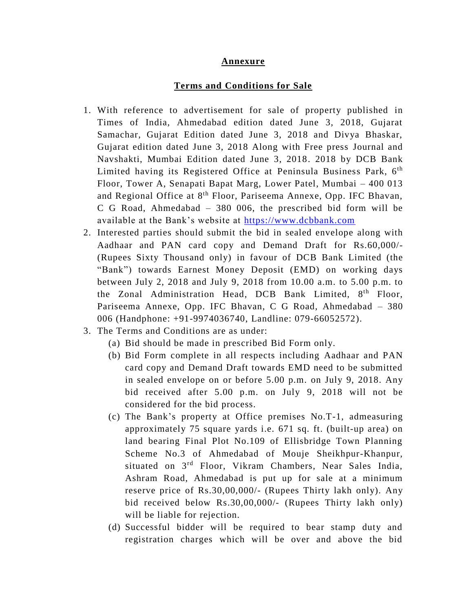### **Annexure**

#### **Terms and Conditions for Sale**

- 1. With reference to advertisement for sale of property published in Times of India, Ahmedabad edition dated June 3, 2018, Gujarat Samachar, Gujarat Edition dated June 3, 2018 and Divya Bhaskar, Gujarat edition dated June 3, 2018 Along with Free press Journal and Navshakti, Mumbai Edition dated June 3, 2018. 2018 by DCB Bank Limited having its Registered Office at Peninsula Business Park, 6<sup>th</sup> Floor, Tower A, Senapati Bapat Marg, Lower Patel, Mumbai – 400 013 and Regional Office at 8<sup>th</sup> Floor, Pariseema Annexe, Opp. IFC Bhavan, C G Road, Ahmedabad – 380 006, the prescribed bid form will be available at the Bank's website at [https://www.dcbbank.com](https://www.dcbbank.com/)
- 2. Interested parties should submit the bid in sealed envelope along with Aadhaar and PAN card copy and Demand Draft for Rs.60,000/- (Rupees Sixty Thousand only) in favour of DCB Bank Limited (the "Bank") towards Earnest Money Deposit (EMD) on working days between July 2, 2018 and July 9, 2018 from 10.00 a.m. to 5.00 p.m. to the Zonal Administration Head, DCB Bank Limited, 8<sup>th</sup> Floor, Pariseema Annexe, Opp. IFC Bhavan, C G Road, Ahmedabad – 380 006 (Handphone: +91-9974036740, Landline: 079-66052572).
- 3. The Terms and Conditions are as under:
	- (a) Bid should be made in prescribed Bid Form only.
	- (b) Bid Form complete in all respects including Aadhaar and PAN card copy and Demand Draft towards EMD need to be submitted in sealed envelope on or before 5.00 p.m. on July 9, 2018. Any bid received after 5.00 p.m. on July 9, 2018 will not be considered for the bid process.
	- (c) The Bank's property at Office premises No.T-1, admeasuring approximately 75 square yards i.e. 671 sq. ft. (built-up area) on land bearing Final Plot No.109 of Ellisbridge Town Planning Scheme No.3 of Ahmedabad of Mouje Sheikhpur-Khanpur, situated on 3rd Floor, Vikram Chambers, Near Sales India, Ashram Road, Ahmedabad is put up for sale at a minimum reserve price of Rs.30,00,000/- (Rupees Thirty lakh only). Any bid received below Rs.30,00,000/- (Rupees Thirty lakh only) will be liable for rejection.
	- (d) Successful bidder will be required to bear stamp duty and registration charges which will be over and above the bid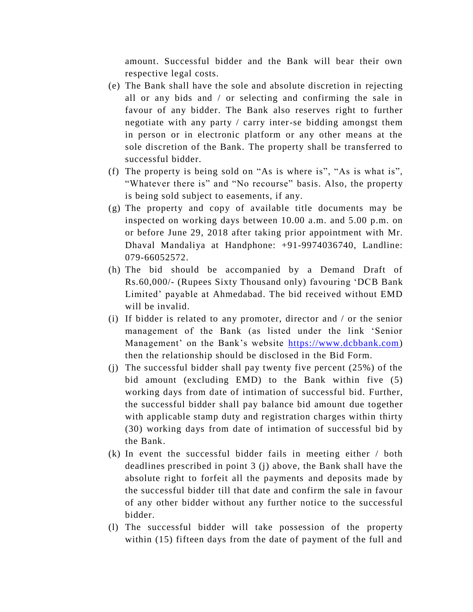amount. Successful bidder and the Bank will bear their own respective legal costs.

- (e) The Bank shall have the sole and absolute discretion in rejecting all or any bids and / or selecting and confirming the sale in favour of any bidder. The Bank also reserves right to further negotiate with any party / carry inter-se bidding amongst them in person or in electronic platform or any other means at the sole discretion of the Bank. The property shall be transferred to successful bidder.
- (f) The property is being sold on "As is where is", "As is what is", "Whatever there is" and "No recourse" basis. Also, the property is being sold subject to easements, if any.
- (g) The property and copy of available title documents may be inspected on working days between 10.00 a.m. and 5.00 p.m. on or before June 29, 2018 after taking prior appointment with Mr. Dhaval Mandaliya at Handphone: +91-9974036740, Landline: 079-66052572.
- (h) The bid should be accompanied by a Demand Draft of Rs.60,000/- (Rupees Sixty Thousand only) favouring 'DCB Bank Limited' payable at Ahmedabad. The bid received without EMD will be invalid.
- (i) If bidder is related to any promoter, director and / or the senior management of the Bank (as listed under the link 'Senior Management' on the Bank's website [https://www.dcbbank.com\)](https://www.dcbbank.com/) then the relationship should be disclosed in the Bid Form.
- (j) The successful bidder shall pay twenty five percent (25%) of the bid amount (excluding EMD) to the Bank within five (5) working days from date of intimation of successful bid. Further, the successful bidder shall pay balance bid amount due together with applicable stamp duty and registration charges within thirty (30) working days from date of intimation of successful bid by the Bank.
- (k) In event the successful bidder fails in meeting either / both deadlines prescribed in point 3 (j) above, the Bank shall have the absolute right to forfeit all the payments and deposits made by the successful bidder till that date and confirm the sale in favour of any other bidder without any further notice to the successful bidder.
- (l) The successful bidder will take possession of the property within (15) fifteen days from the date of payment of the full and